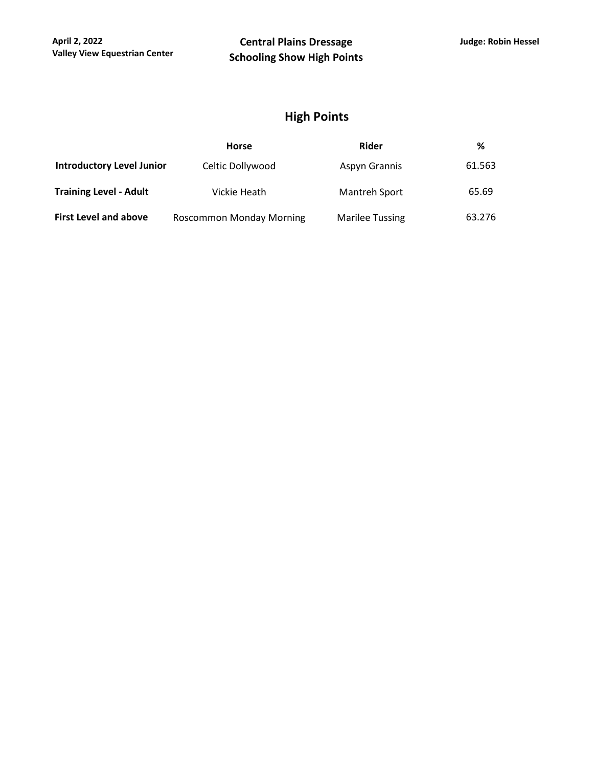## **High Points**

|                                  | <b>Horse</b>             | Rider                  | %      |
|----------------------------------|--------------------------|------------------------|--------|
| <b>Introductory Level Junior</b> | Celtic Dollywood         | Aspyn Grannis          | 61.563 |
| <b>Training Level - Adult</b>    | Vickie Heath             | Mantreh Sport          | 65.69  |
| <b>First Level and above</b>     | Roscommon Monday Morning | <b>Marilee Tussing</b> | 63.276 |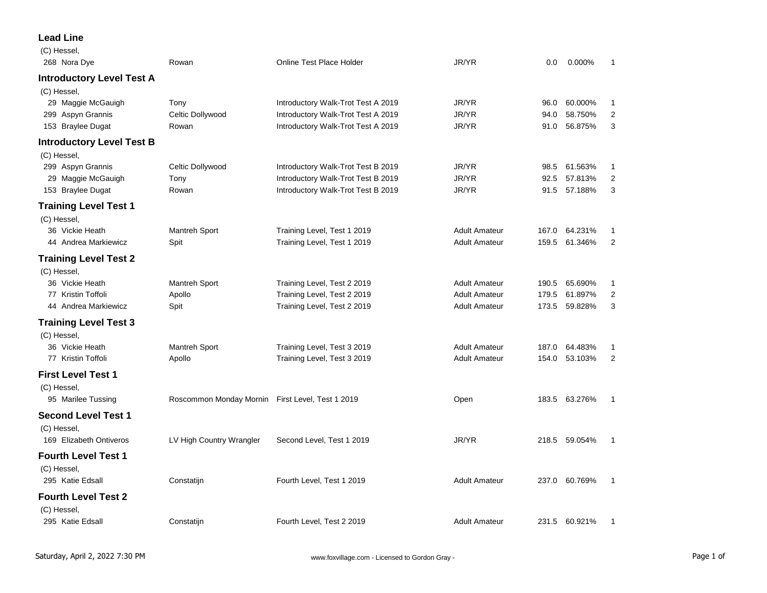## **Lead Line**

| (C) Hessel,<br>268 Nora Dye      | Rowan                                            | <b>Online Test Place Holder</b>    | JR/YR                | 0.0   | $0.000\%$     | 1              |
|----------------------------------|--------------------------------------------------|------------------------------------|----------------------|-------|---------------|----------------|
| <b>Introductory Level Test A</b> |                                                  |                                    |                      |       |               |                |
| (C) Hessel,                      |                                                  |                                    |                      |       |               |                |
| 29 Maggie McGauigh               | Tony                                             | Introductory Walk-Trot Test A 2019 | JR/YR                | 96.0  | 60.000%       | 1              |
| 299 Aspyn Grannis                | Celtic Dollywood                                 | Introductory Walk-Trot Test A 2019 | JR/YR                | 94.0  | 58.750%       | $\overline{2}$ |
| 153 Braylee Dugat                | Rowan                                            | Introductory Walk-Trot Test A 2019 | JR/YR                | 91.0  | 56.875%       | 3              |
| <b>Introductory Level Test B</b> |                                                  |                                    |                      |       |               |                |
| (C) Hessel,                      |                                                  |                                    |                      |       |               |                |
| 299 Aspyn Grannis                | Celtic Dollywood                                 | Introductory Walk-Trot Test B 2019 | JR/YR                | 98.5  | 61.563%       | 1              |
| 29 Maggie McGauigh               | Tony                                             | Introductory Walk-Trot Test B 2019 | JR/YR                | 92.5  | 57.813%       | $\overline{2}$ |
| 153 Braylee Dugat                | Rowan                                            | Introductory Walk-Trot Test B 2019 | JR/YR                | 91.5  | 57.188%       | 3              |
| <b>Training Level Test 1</b>     |                                                  |                                    |                      |       |               |                |
| (C) Hessel,                      |                                                  |                                    |                      |       |               |                |
| 36 Vickie Heath                  | Mantreh Sport                                    | Training Level, Test 1 2019        | <b>Adult Amateur</b> | 167.0 | 64.231%       | 1              |
| 44 Andrea Markiewicz             | Spit                                             | Training Level, Test 1 2019        | <b>Adult Amateur</b> | 159.5 | 61.346%       | $\overline{2}$ |
| <b>Training Level Test 2</b>     |                                                  |                                    |                      |       |               |                |
| (C) Hessel,                      |                                                  |                                    |                      |       |               |                |
| 36 Vickie Heath                  | Mantreh Sport                                    | Training Level, Test 2 2019        | <b>Adult Amateur</b> | 190.5 | 65.690%       | 1              |
| 77 Kristin Toffoli               | Apollo                                           | Training Level, Test 2 2019        | <b>Adult Amateur</b> | 179.5 | 61.897%       | $\overline{2}$ |
| 44 Andrea Markiewicz             | Spit                                             | Training Level, Test 2 2019        | <b>Adult Amateur</b> | 173.5 | 59.828%       | 3              |
| <b>Training Level Test 3</b>     |                                                  |                                    |                      |       |               |                |
| (C) Hessel,                      |                                                  |                                    |                      |       |               |                |
| 36 Vickie Heath                  | Mantreh Sport                                    | Training Level, Test 3 2019        | <b>Adult Amateur</b> | 187.0 | 64.483%       | 1              |
| 77 Kristin Toffoli               | Apollo                                           | Training Level, Test 3 2019        | <b>Adult Amateur</b> | 154.0 | 53.103%       | $\overline{2}$ |
| <b>First Level Test 1</b>        |                                                  |                                    |                      |       |               |                |
| (C) Hessel,                      |                                                  |                                    |                      |       |               |                |
| 95 Marilee Tussing               | Roscommon Monday Mornin First Level, Test 1 2019 |                                    | Open                 |       | 183.5 63.276% | 1              |
| <b>Second Level Test 1</b>       |                                                  |                                    |                      |       |               |                |
| (C) Hessel,                      |                                                  |                                    |                      |       |               |                |
| 169 Elizabeth Ontiveros          | LV High Country Wrangler                         | Second Level, Test 1 2019          | JR/YR                |       | 218.5 59.054% | 1              |
| <b>Fourth Level Test 1</b>       |                                                  |                                    |                      |       |               |                |
| (C) Hessel,                      |                                                  |                                    |                      |       |               |                |
| 295 Katie Edsall                 | Constatijn                                       | Fourth Level, Test 1 2019          | <b>Adult Amateur</b> |       | 237.0 60.769% | 1              |
| <b>Fourth Level Test 2</b>       |                                                  |                                    |                      |       |               |                |
| (C) Hessel,                      |                                                  |                                    |                      |       |               |                |
| 295 Katie Edsall                 | Constatijn                                       | Fourth Level, Test 2 2019          | <b>Adult Amateur</b> |       | 231.5 60.921% | 1              |
|                                  |                                                  |                                    |                      |       |               |                |